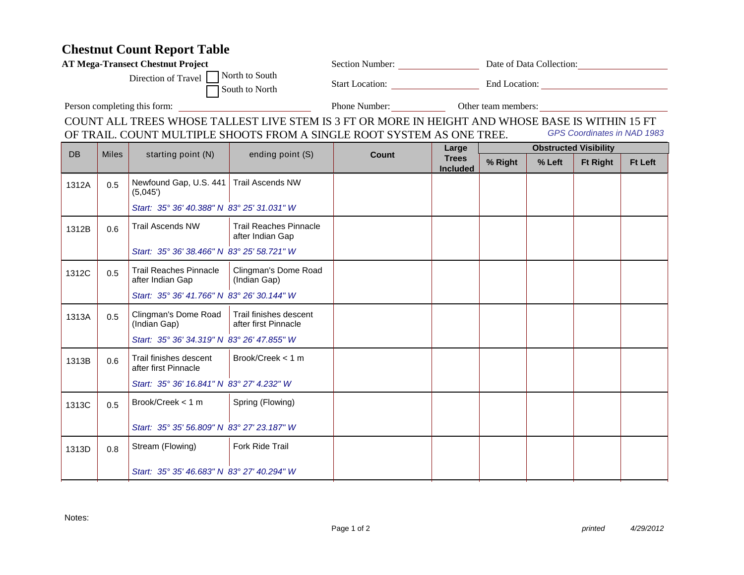## **Chestnut Count Report Table**

| <b>AT Mega-Transect Chestnut Project</b>                                                              |              |                                                               |                                                   |              | Section Number: Date of Data Collection: |                              |        |                 |                |  |
|-------------------------------------------------------------------------------------------------------|--------------|---------------------------------------------------------------|---------------------------------------------------|--------------|------------------------------------------|------------------------------|--------|-----------------|----------------|--|
| North to South<br>Direction of Travel<br>South to North                                               |              |                                                               |                                                   |              |                                          |                              |        |                 |                |  |
| Person completing this form:                                                                          |              |                                                               |                                                   |              | Phone Number: Other team members:        |                              |        |                 |                |  |
| COUNT ALL TREES WHOSE TALLEST LIVE STEM IS 3 FT OR MORE IN HEIGHT AND WHOSE BASE IS WITHIN 15 FT      |              |                                                               |                                                   |              |                                          |                              |        |                 |                |  |
| GPS Coordinates in NAD 1983<br>OF TRAIL. COUNT MULTIPLE SHOOTS FROM A SINGLE ROOT SYSTEM AS ONE TREE. |              |                                                               |                                                   |              |                                          |                              |        |                 |                |  |
| <b>DB</b>                                                                                             | <b>Miles</b> | starting point (N)                                            | ending point (S)                                  | <b>Count</b> | Large<br><b>Trees</b><br><b>Included</b> | <b>Obstructed Visibility</b> |        |                 |                |  |
|                                                                                                       |              |                                                               |                                                   |              |                                          | % Right                      | % Left | <b>Ft Right</b> | <b>Ft Left</b> |  |
| 1312A                                                                                                 | 0.5          | Newfound Gap, U.S. 441   Trail Ascends NW<br>(5,045)          |                                                   |              |                                          |                              |        |                 |                |  |
|                                                                                                       |              | Start: 35° 36' 40.388" N 83° 25' 31.031" W                    |                                                   |              |                                          |                              |        |                 |                |  |
| 1312B                                                                                                 | 0.6          | <b>Trail Ascends NW</b>                                       | <b>Trail Reaches Pinnacle</b><br>after Indian Gap |              |                                          |                              |        |                 |                |  |
|                                                                                                       |              | Start: 35° 36' 38.466" N 83° 25' 58.721" W                    |                                                   |              |                                          |                              |        |                 |                |  |
| 1312C                                                                                                 | 0.5          | <b>Trail Reaches Pinnacle</b><br>after Indian Gap             | Clingman's Dome Road<br>(Indian Gap)              |              |                                          |                              |        |                 |                |  |
|                                                                                                       |              | Start: 35° 36' 41.766" N 83° 26' 30.144" W                    |                                                   |              |                                          |                              |        |                 |                |  |
| 1313A                                                                                                 | 0.5          | Clingman's Dome Road   Trail finishes descent<br>(Indian Gap) | after first Pinnacle                              |              |                                          |                              |        |                 |                |  |
|                                                                                                       |              | Start: 35° 36' 34.319" N 83° 26' 47.855" W                    |                                                   |              |                                          |                              |        |                 |                |  |
| 1313B                                                                                                 | 0.6          | Trail finishes descent<br>after first Pinnacle                | Brook/Creek $< 1$ m                               |              |                                          |                              |        |                 |                |  |
|                                                                                                       |              | Start: 35° 36' 16.841" N 83° 27' 4.232" W                     |                                                   |              |                                          |                              |        |                 |                |  |
| 1313C                                                                                                 | 0.5          | Brook/Creek < 1 m                                             | Spring (Flowing)                                  |              |                                          |                              |        |                 |                |  |
|                                                                                                       |              | Start: 35° 35' 56.809" N 83° 27' 23.187" W                    |                                                   |              |                                          |                              |        |                 |                |  |
| 1313D                                                                                                 | 0.8          | Stream (Flowing)                                              | Fork Ride Trail                                   |              |                                          |                              |        |                 |                |  |
|                                                                                                       |              | Start: 35° 35' 46.683" N 83° 27' 40.294" W                    |                                                   |              |                                          |                              |        |                 |                |  |